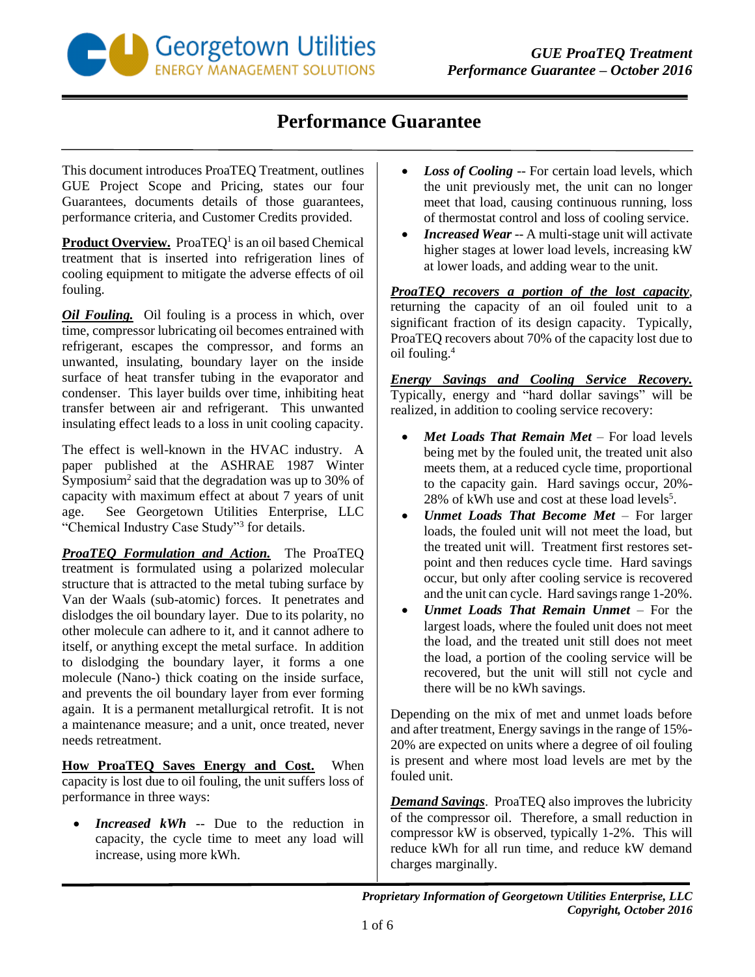

## **Performance Guarantee**

This document introduces ProaTEQ Treatment, outlines GUE Project Scope and Pricing, states our four Guarantees, documents details of those guarantees, performance criteria, and Customer Credits provided.

Product Overview. ProaTEQ<sup>1</sup> is an oil based Chemical treatment that is inserted into refrigeration lines of cooling equipment to mitigate the adverse effects of oil fouling.

*Oil Fouling.* Oil fouling is a process in which, over time, compressor lubricating oil becomes entrained with refrigerant, escapes the compressor, and forms an unwanted, insulating, boundary layer on the inside surface of heat transfer tubing in the evaporator and condenser. This layer builds over time, inhibiting heat transfer between air and refrigerant. This unwanted insulating effect leads to a loss in unit cooling capacity.

The effect is well-known in the HVAC industry. A paper published at the ASHRAE 1987 Winter Symposium<sup>2</sup> said that the degradation was up to 30% of capacity with maximum effect at about 7 years of unit age. See Georgetown Utilities Enterprise, LLC "Chemical Industry Case Study"<sup>3</sup> for details.

*ProaTEQ Formulation and Action.* The ProaTEQ treatment is formulated using a polarized molecular structure that is attracted to the metal tubing surface by Van der Waals (sub-atomic) forces. It penetrates and dislodges the oil boundary layer. Due to its polarity, no other molecule can adhere to it, and it cannot adhere to itself, or anything except the metal surface. In addition to dislodging the boundary layer, it forms a one molecule (Nano-) thick coating on the inside surface, and prevents the oil boundary layer from ever forming again. It is a permanent metallurgical retrofit. It is not a maintenance measure; and a unit, once treated, never needs retreatment.

**How ProaTEQ Saves Energy and Cost.** When capacity is lost due to oil fouling, the unit suffers loss of performance in three ways:

 *Increased kWh* -- Due to the reduction in capacity, the cycle time to meet any load will increase, using more kWh.

- *Loss of Cooling* -- For certain load levels, which the unit previously met, the unit can no longer meet that load, causing continuous running, loss of thermostat control and loss of cooling service.
- *Increased Wear* -- A multi-stage unit will activate higher stages at lower load levels, increasing kW at lower loads, and adding wear to the unit.

*ProaTEQ recovers a portion of the lost capacity*, returning the capacity of an oil fouled unit to a significant fraction of its design capacity. Typically, ProaTEQ recovers about 70% of the capacity lost due to oil fouling.<sup>4</sup>

*Energy Savings and Cooling Service Recovery.* Typically, energy and "hard dollar savings" will be realized, in addition to cooling service recovery:

- *Met Loads That Remain Met* For load levels being met by the fouled unit, the treated unit also meets them, at a reduced cycle time, proportional to the capacity gain. Hard savings occur, 20%- 28% of kWh use and cost at these load levels<sup>5</sup>.
- *Unmet Loads That Become Met*  For larger loads, the fouled unit will not meet the load, but the treated unit will. Treatment first restores setpoint and then reduces cycle time. Hard savings occur, but only after cooling service is recovered and the unit can cycle. Hard savings range 1-20%.
- *Unmet Loads That Remain Unmet*  For the largest loads, where the fouled unit does not meet the load, and the treated unit still does not meet the load, a portion of the cooling service will be recovered, but the unit will still not cycle and there will be no kWh savings.

Depending on the mix of met and unmet loads before and after treatment, Energy savings in the range of 15%- 20% are expected on units where a degree of oil fouling is present and where most load levels are met by the fouled unit.

*Demand Savings*. ProaTEQ also improves the lubricity of the compressor oil. Therefore, a small reduction in compressor kW is observed, typically 1-2%. This will reduce kWh for all run time, and reduce kW demand charges marginally.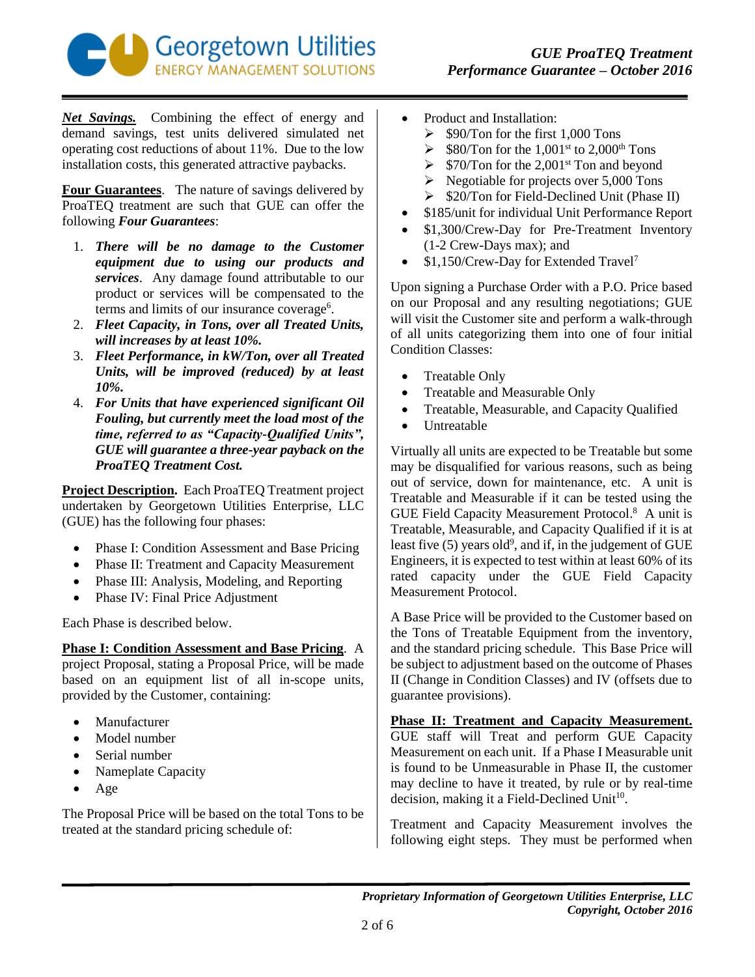

*Net Savings.* Combining the effect of energy and demand savings, test units delivered simulated net operating cost reductions of about 11%. Due to the low installation costs, this generated attractive paybacks.

**Four Guarantees**. The nature of savings delivered by ProaTEQ treatment are such that GUE can offer the following *Four Guarantees*:

- 1. *There will be no damage to the Customer equipment due to using our products and services*. Any damage found attributable to our product or services will be compensated to the terms and limits of our insurance coverage<sup>6</sup>.
- 2. *Fleet Capacity, in Tons, over all Treated Units, will increases by at least 10%.*
- 3. *Fleet Performance, in kW/Ton, over all Treated Units, will be improved (reduced) by at least 10%.*
- 4. *For Units that have experienced significant Oil Fouling, but currently meet the load most of the time, referred to as "Capacity-Qualified Units", GUE will guarantee a three-year payback on the ProaTEQ Treatment Cost.*

**Project Description.** Each ProaTEQ Treatment project undertaken by Georgetown Utilities Enterprise, LLC (GUE) has the following four phases:

- Phase I: Condition Assessment and Base Pricing
- Phase II: Treatment and Capacity Measurement
- Phase III: Analysis, Modeling, and Reporting
- Phase IV: Final Price Adjustment

Each Phase is described below.

**Phase I: Condition Assessment and Base Pricing**. A project Proposal, stating a Proposal Price, will be made based on an equipment list of all in-scope units, provided by the Customer, containing:

- Manufacturer
- Model number
- Serial number
- Nameplate Capacity
- $\bullet$  Age

The Proposal Price will be based on the total Tons to be treated at the standard pricing schedule of:

- Product and Installation:
	- $\geq$  \$90/Ton for the first 1,000 Tons
	- $\blacktriangleright$  \$80/Ton for the 1,001<sup>st</sup> to 2,000<sup>th</sup> Tons
	- $\triangleright$  \$70/Ton for the 2,001<sup>st</sup> Ton and beyond
	- $\triangleright$  Negotiable for projects over 5,000 Tons
	- $\geq$  \$20/Ton for Field-Declined Unit (Phase II)
- \$185/unit for individual Unit Performance Report
- \$1,300/Crew-Day for Pre-Treatment Inventory (1-2 Crew-Days max); and
- \$1,150/Crew-Day for Extended Travel<sup>7</sup>

Upon signing a Purchase Order with a P.O. Price based on our Proposal and any resulting negotiations; GUE will visit the Customer site and perform a walk-through of all units categorizing them into one of four initial Condition Classes:

- Treatable Only
- Treatable and Measurable Only
- Treatable, Measurable, and Capacity Qualified
- Untreatable

Virtually all units are expected to be Treatable but some may be disqualified for various reasons, such as being out of service, down for maintenance, etc. A unit is Treatable and Measurable if it can be tested using the GUE Field Capacity Measurement Protocol. 8 A unit is Treatable, Measurable, and Capacity Qualified if it is at least five  $(5)$  years old<sup>9</sup>, and if, in the judgement of GUE Engineers, it is expected to test within at least 60% of its rated capacity under the GUE Field Capacity Measurement Protocol.

A Base Price will be provided to the Customer based on the Tons of Treatable Equipment from the inventory, and the standard pricing schedule. This Base Price will be subject to adjustment based on the outcome of Phases II (Change in Condition Classes) and IV (offsets due to guarantee provisions).

**Phase II: Treatment and Capacity Measurement.** GUE staff will Treat and perform GUE Capacity Measurement on each unit. If a Phase I Measurable unit is found to be Unmeasurable in Phase II, the customer may decline to have it treated, by rule or by real-time decision, making it a Field-Declined Unit<sup>10</sup>.

Treatment and Capacity Measurement involves the following eight steps. They must be performed when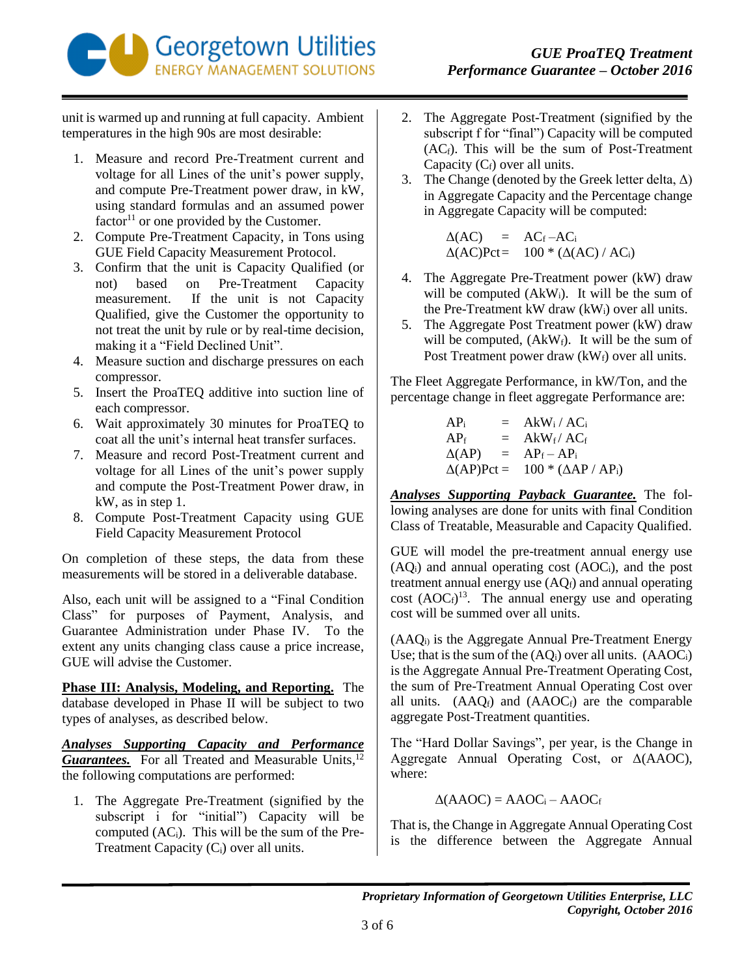

unit is warmed up and running at full capacity. Ambient temperatures in the high 90s are most desirable:

- 1. Measure and record Pre-Treatment current and voltage for all Lines of the unit's power supply, and compute Pre-Treatment power draw, in kW, using standard formulas and an assumed power  $factor<sup>11</sup>$  or one provided by the Customer.
- 2. Compute Pre-Treatment Capacity, in Tons using GUE Field Capacity Measurement Protocol.
- 3. Confirm that the unit is Capacity Qualified (or not) based on Pre-Treatment Capacity measurement. If the unit is not Capacity Qualified, give the Customer the opportunity to not treat the unit by rule or by real-time decision, making it a "Field Declined Unit".
- 4. Measure suction and discharge pressures on each compressor.
- 5. Insert the ProaTEQ additive into suction line of each compressor.
- 6. Wait approximately 30 minutes for ProaTEQ to coat all the unit's internal heat transfer surfaces.
- 7. Measure and record Post-Treatment current and voltage for all Lines of the unit's power supply and compute the Post-Treatment Power draw, in kW, as in step 1.
- 8. Compute Post-Treatment Capacity using GUE Field Capacity Measurement Protocol

On completion of these steps, the data from these measurements will be stored in a deliverable database.

Also, each unit will be assigned to a "Final Condition Class" for purposes of Payment, Analysis, and Guarantee Administration under Phase IV. To the extent any units changing class cause a price increase, GUE will advise the Customer.

**Phase III: Analysis, Modeling, and Reporting.** The database developed in Phase II will be subject to two types of analyses, as described below.

*Analyses Supporting Capacity and Performance* Guarantees. For all Treated and Measurable Units,<sup>12</sup> the following computations are performed:

1. The Aggregate Pre-Treatment (signified by the subscript i for "initial") Capacity will be computed  $(AC_i)$ . This will be the sum of the Pre-Treatment Capacity  $(C_i)$  over all units.

- 2. The Aggregate Post-Treatment (signified by the subscript f for "final") Capacity will be computed  $(AC<sub>f</sub>)$ . This will be the sum of Post-Treatment Capacity  $(C_f)$  over all units.
- 3. The Change (denoted by the Greek letter delta,  $\Delta$ ) in Aggregate Capacity and the Percentage change in Aggregate Capacity will be computed:

 $\Delta(AC)$  =  $AC_f - AC_i$  $\Delta$ (AC)Pct= 100 \* ( $\Delta$ (AC) / AC<sub>i</sub>)

- 4. The Aggregate Pre-Treatment power (kW) draw will be computed  $(AkW_i)$ . It will be the sum of the Pre-Treatment kW draw  $(kW_i)$  over all units.
- 5. The Aggregate Post Treatment power (kW) draw will be computed,  $(AkW_f)$ . It will be the sum of Post Treatment power draw  $(kW_f)$  over all units.

The Fleet Aggregate Performance, in kW/Ton, and the percentage change in fleet aggregate Performance are:

> $AP_i$  =  $AkW_i / AC_i$  $AP_f$  =  $AkW_f/AC_f$  $\Delta$ (AP) = AP<sub>f</sub> – AP<sub>i</sub>  $\Delta$ (AP)Pct = 100 \* ( $\Delta$ AP / AP<sub>i</sub>)

*Analyses Supporting Payback Guarantee.* The following analyses are done for units with final Condition Class of Treatable, Measurable and Capacity Qualified.

GUE will model the pre-treatment annual energy use  $(AQ_i)$  and annual operating cost  $(AOC_i)$ , and the post treatment annual energy use  $(AQ_f)$  and annual operating cost  $(AOC<sub>f</sub>)<sup>13</sup>$ . The annual energy use and operating cost will be summed over all units.

 $(AAQ<sub>i</sub>)$  is the Aggregate Annual Pre-Treatment Energy Use; that is the sum of the  $(AQ_i)$  over all units.  $(AAOC_i)$ is the Aggregate Annual Pre-Treatment Operating Cost, the sum of Pre-Treatment Annual Operating Cost over all units.  $(AAQ_f)$  and  $(AAOC_f)$  are the comparable aggregate Post-Treatment quantities.

The "Hard Dollar Savings", per year, is the Change in Aggregate Annual Operating Cost, or Δ(AAOC), where:

$$
\Delta(AAOC) = AAOC_i - AAOC_f
$$

That is, the Change in Aggregate Annual Operating Cost is the difference between the Aggregate Annual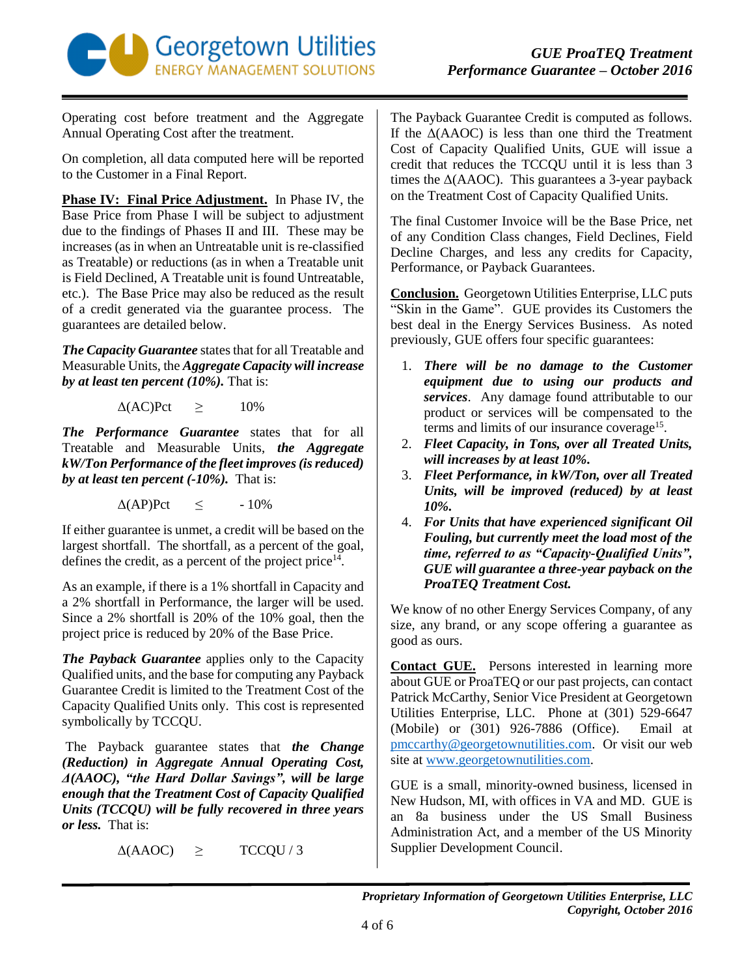

Operating cost before treatment and the Aggregate Annual Operating Cost after the treatment.

On completion, all data computed here will be reported to the Customer in a Final Report.

**Phase IV: Final Price Adjustment.** In Phase IV, the Base Price from Phase I will be subject to adjustment due to the findings of Phases II and III. These may be increases (as in when an Untreatable unit is re-classified as Treatable) or reductions (as in when a Treatable unit is Field Declined, A Treatable unit is found Untreatable, etc.). The Base Price may also be reduced as the result of a credit generated via the guarantee process. The guarantees are detailed below.

*The Capacity Guarantee* states that for all Treatable and Measurable Units, the *Aggregate Capacity will increase by at least ten percent (10%).* That is:

 $\Delta$ (AC)Pct  $\geq$  10%

*The Performance Guarantee* states that for all Treatable and Measurable Units, *the Aggregate kW/Ton Performance of the fleet improves (is reduced) by at least ten percent (-10%).* That is:

 $\Delta$ (AP)Pct  $\leq$  -10%

If either guarantee is unmet, a credit will be based on the largest shortfall. The shortfall, as a percent of the goal, defines the credit, as a percent of the project price<sup>14</sup>.

As an example, if there is a 1% shortfall in Capacity and a 2% shortfall in Performance, the larger will be used. Since a 2% shortfall is 20% of the 10% goal, then the project price is reduced by 20% of the Base Price.

*The Payback Guarantee* applies only to the Capacity Qualified units, and the base for computing any Payback Guarantee Credit is limited to the Treatment Cost of the Capacity Qualified Units only. This cost is represented symbolically by TCCQU.

The Payback guarantee states that *the Change (Reduction) in Aggregate Annual Operating Cost, Δ(AAOC), "the Hard Dollar Savings", will be large enough that the Treatment Cost of Capacity Qualified Units (TCCQU) will be fully recovered in three years or less.* That is:

 $\Delta(AAOC) \geq TCCOU/3$ 

The Payback Guarantee Credit is computed as follows. If the  $\Delta$ (AAOC) is less than one third the Treatment Cost of Capacity Qualified Units, GUE will issue a credit that reduces the TCCQU until it is less than 3 times the  $\Delta(AAOC)$ . This guarantees a 3-year payback on the Treatment Cost of Capacity Qualified Units.

The final Customer Invoice will be the Base Price, net of any Condition Class changes, Field Declines, Field Decline Charges, and less any credits for Capacity, Performance, or Payback Guarantees.

**Conclusion.** Georgetown Utilities Enterprise, LLC puts "Skin in the Game". GUE provides its Customers the best deal in the Energy Services Business. As noted previously, GUE offers four specific guarantees:

- 1. *There will be no damage to the Customer equipment due to using our products and services*. Any damage found attributable to our product or services will be compensated to the terms and limits of our insurance coverage<sup>15</sup>.
- 2. *Fleet Capacity, in Tons, over all Treated Units, will increases by at least 10%.*
- 3. *Fleet Performance, in kW/Ton, over all Treated Units, will be improved (reduced) by at least 10%.*
- 4. *For Units that have experienced significant Oil Fouling, but currently meet the load most of the time, referred to as "Capacity-Qualified Units", GUE will guarantee a three-year payback on the ProaTEQ Treatment Cost.*

We know of no other Energy Services Company, of any size, any brand, or any scope offering a guarantee as good as ours.

**Contact GUE.** Persons interested in learning more about GUE or ProaTEQ or our past projects, can contact Patrick McCarthy, Senior Vice President at Georgetown Utilities Enterprise, LLC. Phone at (301) 529-6647 (Mobile) or (301) 926-7886 (Office). Email at [pmccarthy@georgetownutilities.com.](mailto:pmccarthy@georgetownutilities.com) Or visit our web site at [www.georgetownutilities.com.](http://www.georgetownutilities.com/)

GUE is a small, minority-owned business, licensed in New Hudson, MI, with offices in VA and MD. GUE is an 8a business under the US Small Business Administration Act, and a member of the US Minority Supplier Development Council.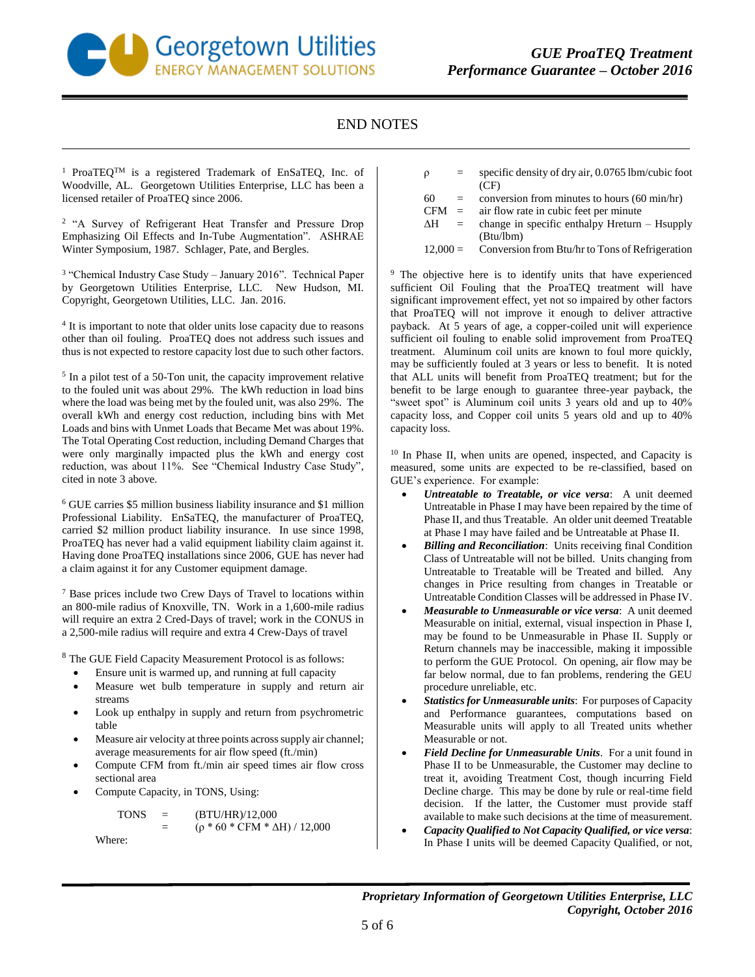

## END NOTES

<sup>1</sup> ProaTEQ<sup>TM</sup> is a registered Trademark of EnSaTEQ, Inc. of Woodville, AL. Georgetown Utilities Enterprise, LLC has been a licensed retailer of ProaTEQ since 2006.

<sup>2</sup> "A Survey of Refrigerant Heat Transfer and Pressure Drop Emphasizing Oil Effects and In-Tube Augmentation". ASHRAE Winter Symposium, 1987. Schlager, Pate, and Bergles.

<sup>3</sup> "Chemical Industry Case Study - January 2016". Technical Paper by Georgetown Utilities Enterprise, LLC. New Hudson, MI. Copyright, Georgetown Utilities, LLC. Jan. 2016.

<sup>4</sup> It is important to note that older units lose capacity due to reasons other than oil fouling. ProaTEQ does not address such issues and thus is not expected to restore capacity lost due to such other factors.

<sup>5</sup> In a pilot test of a 50-Ton unit, the capacity improvement relative to the fouled unit was about 29%. The kWh reduction in load bins where the load was being met by the fouled unit, was also 29%. The overall kWh and energy cost reduction, including bins with Met Loads and bins with Unmet Loads that Became Met was about 19%. The Total Operating Cost reduction, including Demand Charges that were only marginally impacted plus the kWh and energy cost reduction, was about 11%. See "Chemical Industry Case Study", cited in note 3 above.

<sup>6</sup> GUE carries \$5 million business liability insurance and \$1 million Professional Liability. EnSaTEQ, the manufacturer of ProaTEQ, carried \$2 million product liability insurance. In use since 1998, ProaTEQ has never had a valid equipment liability claim against it. Having done ProaTEQ installations since 2006, GUE has never had a claim against it for any Customer equipment damage.

<sup>7</sup> Base prices include two Crew Days of Travel to locations within an 800-mile radius of Knoxville, TN. Work in a 1,600-mile radius will require an extra 2 Cred-Days of travel; work in the CONUS in a 2,500-mile radius will require and extra 4 Crew-Days of travel

<sup>8</sup> The GUE Field Capacity Measurement Protocol is as follows:

- Ensure unit is warmed up, and running at full capacity
- Measure wet bulb temperature in supply and return air streams
- Look up enthalpy in supply and return from psychrometric table
- Measure air velocity at three points across supply air channel; average measurements for air flow speed (ft./min)
- Compute CFM from ft./min air speed times air flow cross sectional area
- Compute Capacity, in TONS, Using:

 $TONS = (BTU/HR)/12,000$  $(p * 60 * CFM * \Delta H) / 12,000$ 

Where:

- $\rho$  = specific density of dry air, 0.0765 lbm/cubic foot (CF)
- $60 =$  conversion from minutes to hours  $(60 \text{ min/hr})$
- $CFM =$  air flow rate in cubic feet per minute
- $\Delta H$  = change in specific enthalpy Hreturn Hsupply (Btu/lbm)
- 12,000 = Conversion from Btu/hr to Tons of Refrigeration

<sup>9</sup> The objective here is to identify units that have experienced sufficient Oil Fouling that the ProaTEQ treatment will have significant improvement effect, yet not so impaired by other factors that ProaTEQ will not improve it enough to deliver attractive payback. At 5 years of age, a copper-coiled unit will experience sufficient oil fouling to enable solid improvement from ProaTEQ treatment. Aluminum coil units are known to foul more quickly, may be sufficiently fouled at 3 years or less to benefit. It is noted that ALL units will benefit from ProaTEQ treatment; but for the benefit to be large enough to guarantee three-year payback, the "sweet spot" is Aluminum coil units 3 years old and up to 40% capacity loss, and Copper coil units 5 years old and up to 40% capacity loss.

<sup>10</sup> In Phase II, when units are opened, inspected, and Capacity is measured, some units are expected to be re-classified, based on GUE's experience. For example:

- *Untreatable to Treatable, or vice versa*: A unit deemed Untreatable in Phase I may have been repaired by the time of Phase II, and thus Treatable. An older unit deemed Treatable at Phase I may have failed and be Untreatable at Phase II.
- *Billing and Reconciliation*: Units receiving final Condition Class of Untreatable will not be billed. Units changing from Untreatable to Treatable will be Treated and billed. Any changes in Price resulting from changes in Treatable or Untreatable Condition Classes will be addressed in Phase IV.
- *Measurable to Unmeasurable or vice versa*: A unit deemed Measurable on initial, external, visual inspection in Phase I, may be found to be Unmeasurable in Phase II. Supply or Return channels may be inaccessible, making it impossible to perform the GUE Protocol. On opening, air flow may be far below normal, due to fan problems, rendering the GEU procedure unreliable, etc.
- *Statistics for Unmeasurable units*: For purposes of Capacity and Performance guarantees, computations based on Measurable units will apply to all Treated units whether Measurable or not.
- *Field Decline for Unmeasurable Units*. For a unit found in Phase II to be Unmeasurable, the Customer may decline to treat it, avoiding Treatment Cost, though incurring Field Decline charge. This may be done by rule or real-time field decision. If the latter, the Customer must provide staff available to make such decisions at the time of measurement.
- *Capacity Qualified to Not Capacity Qualified, or vice versa*: In Phase I units will be deemed Capacity Qualified, or not,